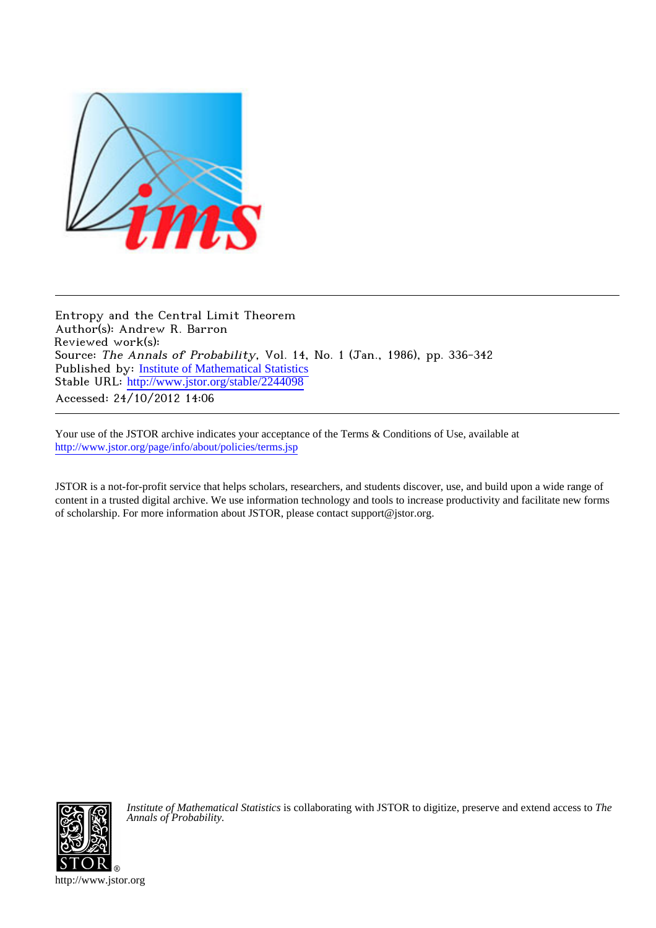

Entropy and the Central Limit Theorem Author(s): Andrew R. Barron Reviewed work(s): Source: The Annals of Probability, Vol. 14, No. 1 (Jan., 1986), pp. 336-342 Published by: [Institute of Mathematical Statistics](http://www.jstor.org/action/showPublisher?publisherCode=ims) Stable URL: [http://www.jstor.org/stable/2244098](http://www.jstor.org/stable/2244098?origin=JSTOR-pdf) Accessed: 24/10/2012 14:06

Your use of the JSTOR archive indicates your acceptance of the Terms & Conditions of Use, available at <http://www.jstor.org/page/info/about/policies/terms.jsp>

JSTOR is a not-for-profit service that helps scholars, researchers, and students discover, use, and build upon a wide range of content in a trusted digital archive. We use information technology and tools to increase productivity and facilitate new forms of scholarship. For more information about JSTOR, please contact support@jstor.org.



*Institute of Mathematical Statistics* is collaborating with JSTOR to digitize, preserve and extend access to *The Annals of Probability.*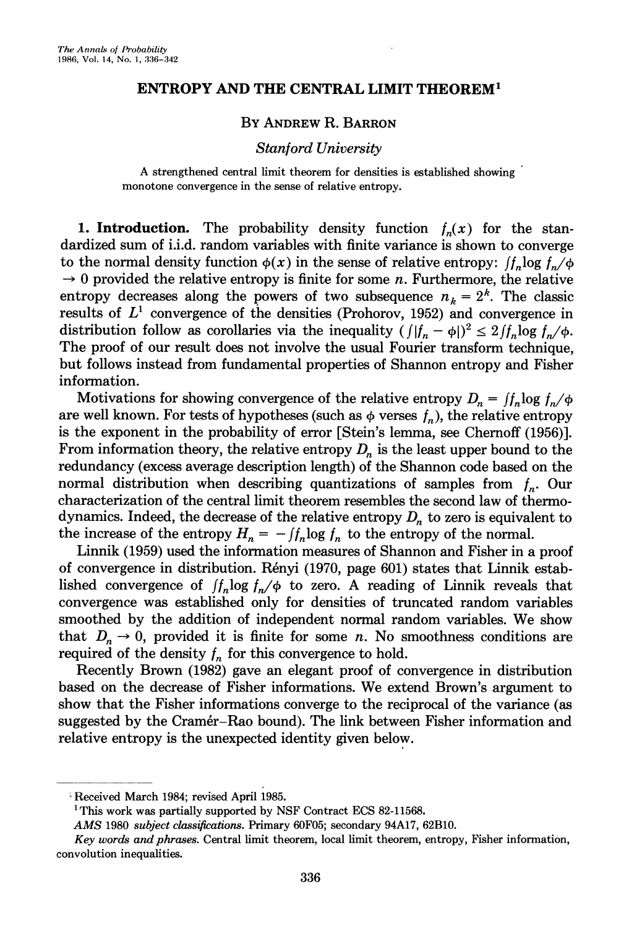# ENTROPY AND THE CENTRAL LIMIT THEOREM'

# BY ANDREW R. BARRON

# Stanford University

A strengthened central limit theorem for densities is established showing monotone convergence in the sense of relative entropy.

1. Introduction. The probability density function  $f_n(x)$  for the standardized sum of i.i.d. random variables with finite variance is shown to converge to the normal density function  $\phi(x)$  in the sense of relative entropy:  $\int_{a}$   $\log f_{n}/\phi$  $\rightarrow 0$  provided the relative entropy is finite for some *n*. Furthermore, the relative entropy decreases along the powers of two subsequence  $n_k = 2^k$ . The classic results of  $L^1$  convergence of the densities (Prohorov, 1952) and convergence in distribution follow as corollaries via the inequality  $(|f_n - \phi|)^2 \leq 2 |f_n \log f_n / \phi$ . The proof of our result does not involve the usual Fourier transform technique, but follows instead from fundamental properties of Shannon entropy and Fisher information.

Motivations for showing convergence of the relative entropy  $D_n = \int f_n \log f_n / \phi$ are well known. For tests of hypotheses (such as  $\phi$  verses  $f_n$ ), the relative entropy is the exponent in the probability of error [Stein's lemma, see Chernoff (1956)]. From information theory, the relative entropy  $D_n$  is the least upper bound to the redundancy (excess average description length) of the Shannon code based on the normal distribution when describing quantizations of samples from  $f_n$ . Our characterization of the centralimit theorem resembles the second law of thermodynamics. Indeed, the decrease of the relative entropy  $D_n$  to zero is equivalent to the increase of the entropy  $H_n = -\int f_n \log f_n$  to the entropy of the normal.

Linnik (1959) used the information measures of Shannon and Fisher in a proof of convergence in distribution. Renyi (1970, page 601) states that Linnik established convergence of  $\int f_n \log f_n / \phi$  to zero. A reading of Linnik reveals that convergence was established only for densities of truncated random variables smoothed by the addition of independent normal random variables. We show that  $D_n \to 0$ , provided it is finite for some n. No smoothness conditions are required of the density  $f<sub>n</sub>$  for this convergence to hold.

Recently Brown (1982) gave an elegant proof of convergence in distribution based on the decrease of Fisher informations. We extend Brown's argument to show that the Fisher informations converge to the reciprocal of the variance (as suggested by the Cramer-Rao bound). The link between Fisher information and relative entropy is the unexpected identity given below.

Received March 1984; revised April 1985.

<sup>&</sup>lt;sup>1</sup>This work was partially supported by NSF Contract ECS 82-11568.

AMS 1980 subject classifications. Primary 60F05; secondary 94A17, 62B10.

Key words and phrases. Central limit theorem, local limit theorem, entropy, Fisher information, convolution inequalities.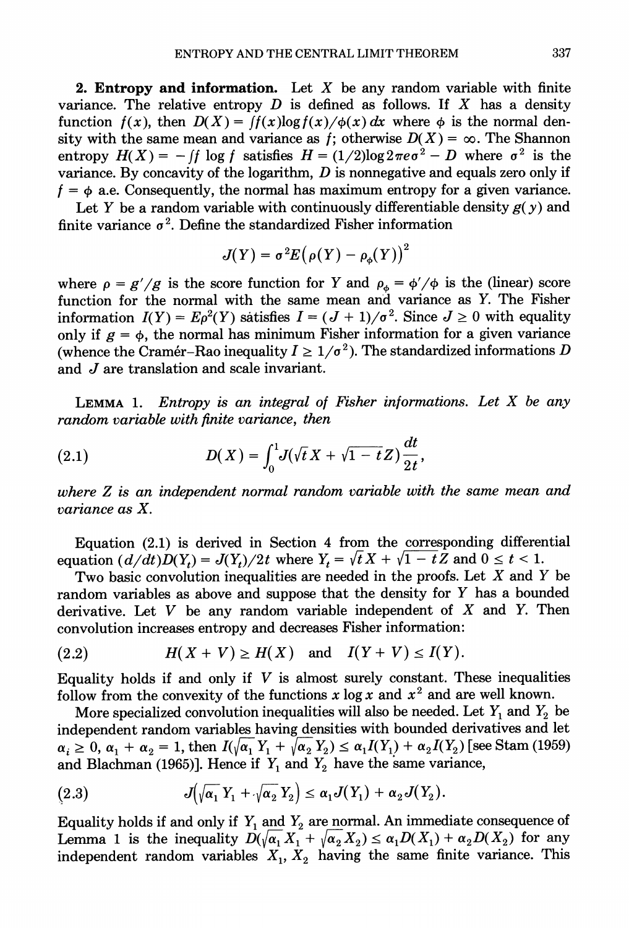**2. Entropy and information.** Let  $X$  be any random variable with finite variance. The relative entropy  $D$  is defined as follows. If  $X$  has a density function  $f(x)$ , then  $D(X) = f(x) \log f(x) / \phi(x) dx$  where  $\phi$  is the normal density with the same mean and variance as f; otherwise  $D(X) = \infty$ . The Shannon entropy  $H(X) = -\int f \log f$  satisfies  $H = (1/2) \log 2\pi e \sigma^2 - D$  where  $\sigma^2$  is the variance. By concavity of the logarithm,  $D$  is nonnegative and equals zero only if  $f = \phi$  a.e. Consequently, the normal has maximum entropy for a given variance.

Let Y be a random variable with continuously differentiable density  $g(y)$  and finite variance  $\sigma^2$ . Define the standardized Fisher information

$$
J(Y) = \sigma^2 E(\rho(Y) - \rho_{\phi}(Y))^2
$$

where  $\rho = g'/g$  is the score function for Y and  $\rho_{\phi} = \phi'/\phi$  is the (linear) score function for the normal with the same mean and variance as Y. The Fisher information  $I(Y) = E\rho^2(Y)$  satisfies  $I = (J + 1)/\sigma^2$ . Since  $J \ge 0$  with equality only if  $g = \phi$ , the normal has minimum Fisher information for a given variance (whence the Cramer–Rao inequality  $I \geq 1/\sigma^2$ ). The standardized informations D and J are translation and scale invariant.

LEMMA 1. Entropy is an integral of Fisher informations. Let  $X$  be any random variable with finite variance, then

(2.1) 
$$
D(X) = \int_0^1 J(\sqrt{t} X + \sqrt{1 - t} Z) \frac{dt}{2t},
$$

where Z is an independent normal random variable with the same mean and variance as X.

Equation (2.1) is derived in Section 4 from the corresponding differential equation  $(d/dt)D(Y_t) = J(Y_t)/2t$  where  $Y_t = \sqrt{t}X + \sqrt{1-t}Z$  and  $0 \le t < 1$ .

Two basic convolution inequalities are needed in the proofs. Let  $X$  and  $Y$  be random variables as above and suppose that the density for Y has a bounded derivative. Let  $V$  be any random variable independent of  $X$  and  $Y$ . Then convolution increases entropy and decreases Fisher information:

$$
(2.2) \tH(X+V) \ge H(X) \text{ and } I(Y+V) \le I(Y).
$$

Equality holds if and only if  $V$  is almost surely constant. These inequalities follow from the convexity of the functions x  $\log x$  and  $x^2$  and are well known.

More specialized convolution inequalities will also be needed. Let  $Y_1$  and  $Y_2$  be independent random variables having densities with bounded derivatives and let  $\alpha_i \geq 0$ ,  $\alpha_1 + \alpha_2 = 1$ , then  $I(\sqrt{\alpha_1} Y_1 + \sqrt{\alpha_2} Y_2) \leq \alpha_1 I(Y_1) + \alpha_2 I(Y_2)$  [see Stam (1959) and Blachman (1965)]. Hence if  $Y_1$  and  $Y_2$  have the same variance,

(2.3) 
$$
J(\sqrt{\alpha_1}Y_1+\sqrt{\alpha_2}Y_2)\leq \alpha_1J(Y_1)+\alpha_2J(Y_2).
$$

Equality holds if and only if  $Y_1$  and  $Y_2$  are normal. An immediate consequence of Lemma 1 is the inequality  $D(\sqrt{\alpha_1}X_1 + \sqrt{\alpha_2}X_2) \le \alpha_1D(X_1) + \alpha_2D(X_2)$  for any independent random variables  $X_1, X_2$  having the same finite variance. This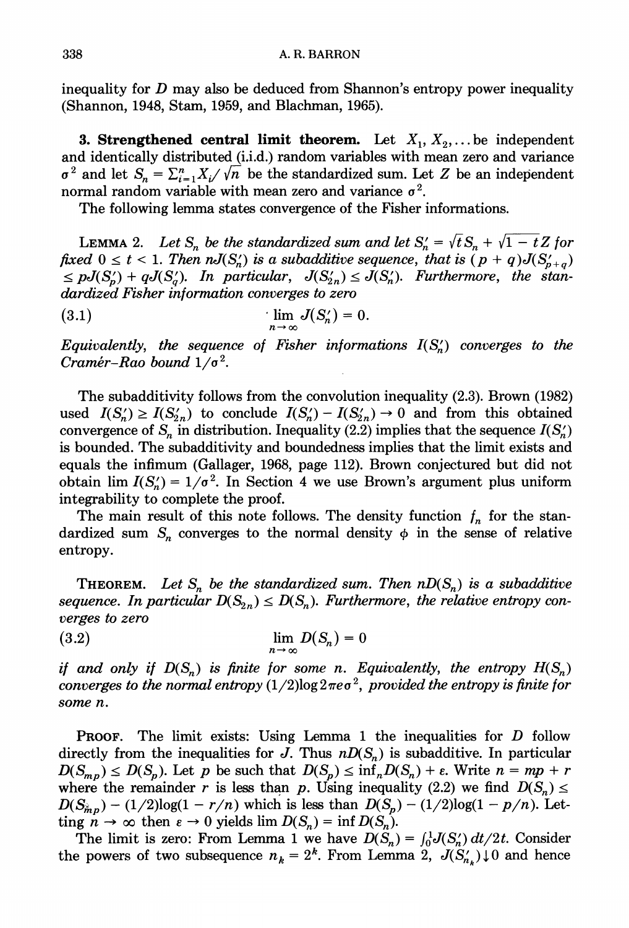inequality for  $D$  may also be deduced from Shannon's entropy power inequality (Shannon, 1948, Stam, 1959, and Blachman, 1965).

**3. Strengthened central limit theorem.** Let  $X_1, X_2, \ldots$  be independent and identically distributed (i.i.d.) random variables with mean zero and variance  $\sigma^2$  and let  $S_n = \sum_{i=1}^n X_i/\sqrt{n}$  be the standardized sum. Let Z be an independent normal random variable with mean zero and variance  $\sigma^2$ .

The following lemma states convergence of the Fisher informations.

LEMMA 2. Let  $S_n$  be the standardized sum and let  $S_n' = \sqrt{t} S_n + \sqrt{1-t} Z$  for fixed  $0 \le t < 1$ . Then  $nJ(S'_n)$  is a subadditive sequence, that is  $(p+q)J(S'_{n+q})$  $\leq pJ(S'_p) + qJ(S'_q)$ . In particular,  $J(S'_{2n}) \leq J(S'_n)$ . Furthermore, the standardized Fisher information converges to zero

$$
\lim_{n\to\infty} J(S'_n)=0.
$$

Equivalently, the sequence of Fisher informations  $I(S_n)$  converges to the Cramér-Rao bound  $1/\sigma^2$ .

The subadditivity follows from the convolution inequality (2.3). Brown (1982) used  $I(S_n') \geq I(S_{2n}')$  to conclude  $I(S_n') - I(S_{2n}') \to 0$  and from this obtained convergence of S<sub>n</sub> in distribution. Inequality (2.2) implies that the sequence  $I(S_n)$ is bounded. The subadditivity and boundedness implies that the limit exists and equals the infimum (Gallager, 1968, page 112). Brown conjectured but did not obtain lim  $I(S_n') = 1/\sigma^2$ . In Section 4 we use Brown's argument plus uniform integrability to complete the proof.

The main result of this note follows. The density function  $f_n$  for the standardized sum  $S_n$  converges to the normal density  $\phi$  in the sense of relative entropy.

**THEOREM.** Let S<sub>n</sub> be the standardized sum. Then  $nD(S_n)$  is a subadditive sequence. In particular  $D(S_{2n}) \leq D(S_n)$ . Furthermore, the relative entropy converges to zero

$$
\lim_{n \to \infty} D(S_n) = 0
$$

if and only if  $D(S_n)$  is finite for some n. Equivalently, the entropy  $H(S_n)$ converges to the normal entropy  $(1/2)$ log $2\pi e\sigma^2$ , provided the entropy is finite for some n.

**PROOF.** The limit exists: Using Lemma 1 the inequalities for  $D$  follow directly from the inequalities for J. Thus  $nD(S_n)$  is subadditive. In particular  $D(S_{mn}) \leq D(S_n)$ . Let p be such that  $D(S_n) \leq \inf_n D(S_n) + \varepsilon$ . Write  $n = mp + r$ where the remainder r is less than p. Using inequality (2.2) we find  $D(S_n) \le$  $D(S_{\hat{m}p}) - (1/2)\log(1 - r/n)$  which is less than  $D(S_p) - (1/2)\log(1 - p/n)$ . Letting  $n \to \infty$  then  $\varepsilon \to 0$  yields lim  $D(S_n) = \inf D(S_n)$ .

The limit is zero: From Lemma 1 we have  $D(S_n) = \int_0^1 J(S'_n) dt/2t$ . Consider the powers of two subsequence  $n_k = 2^k$ . From Lemma 2,  $J(S'_{n_k}) \downarrow 0$  and hence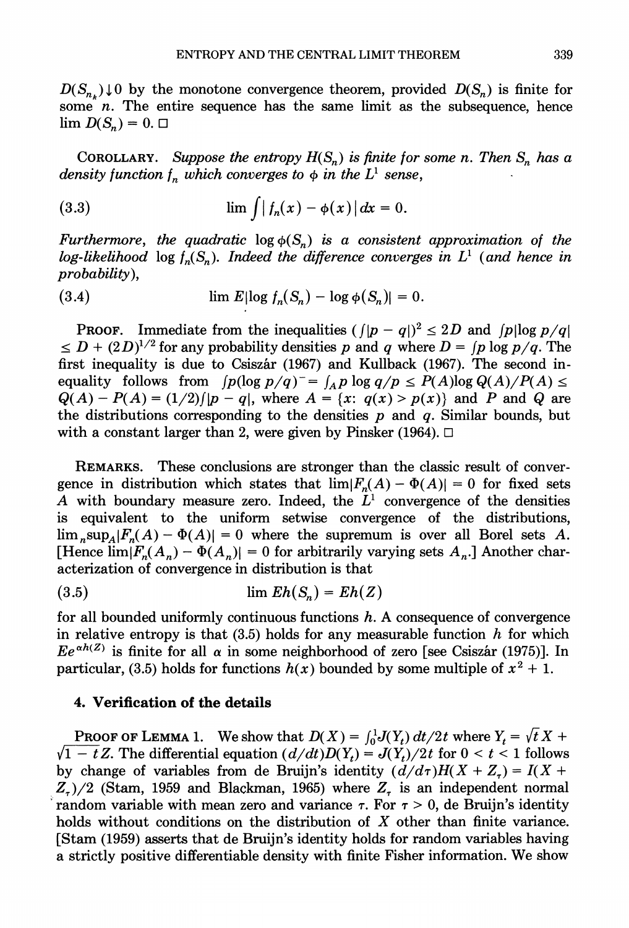$D(S_n)$  of by the monotone convergence theorem, provided  $D(S_n)$  is finite for some  $n$ . The entire sequence has the same limit as the subsequence, hence  $\lim D(S_n) = 0. \Box$ 

COROLLARY. Suppose the entropy  $H(S_n)$  is finite for some n. Then  $S_n$  has a density function  $f_n$  which converges to  $\phi$  in the  $L^1$  sense,

(3.3) 
$$
\lim_{n \to \infty} \int |f_n(x) - \phi(x)| dx = 0.
$$

Furthermore, the quadratic  $log \phi(S_n)$  is a consistent approximation of the log-likelihood log  $f_n(S_n)$ . Indeed the difference converges in  $L^1$  (and hence in probability),

(3.4) 
$$
\lim E|\log f_n(S_n) - \log \phi(S_n)| = 0.
$$

**PROOF.** Immediate from the inequalities  $(|p - q|)^2 \leq 2D$  and  $|p| \log p/q$  $\leq D + (2D)^{1/2}$  for any probability densities p and q where  $D = (p \log p/q)$ . The first inequality is due to Csiszár (1967) and Kullback (1967). The second inequality follows from  $[p(\log p/q)] = \int_A p \log q/p \le P(A) \log Q(A)/P(A) \le$  $Q(A) - P(A) = (1/2)/[p - q]$ , where  $A = \{x: q(x) > p(x)\}$  and P and Q are the distributions corresponding to the densities  $p$  and  $q$ . Similar bounds, but with a constant larger than 2, were given by Pinsker (1964).  $\Box$ 

REMARKS. These conclusions are stronger than the classic result of convergence in distribution which states that  $\lim |F_n(A) - \Phi(A)| = 0$  for fixed sets A with boundary measure zero. Indeed, the  $L^1$  convergence of the densities is equivalent to the uniform setwise convergence of the distributions,  $\lim_{n\to\infty}$   $\sup_{A} |F_n(A) - \Phi(A)| = 0$  where the supremum is over all Borel sets A. [Hence  $\lim_{n \to \infty} |F_n(A_n) - \Phi(A_n)| = 0$  for arbitrarily varying sets  $A_n$ .] Another characterization of convergence in distribution is that

(3.5) lim Eh(Sn) = Eh(Z)

for all bounded uniformly continuous functions  $h$ . A consequence of convergence in relative entropy is that  $(3.5)$  holds for any measurable function h for which  $Ee^{\alpha h(Z)}$  is finite for all  $\alpha$  in some neighborhood of zero [see Csiszár (1975)]. In particular, (3.5) holds for functions  $h(x)$  bounded by some multiple of  $x^2 + 1$ .

# 4. Verification of the details

**PROOF OF LEMMA 1.** We show that  $D(X) = \int_0^1 J(Y_t) dt/2t$  where  $Y_t = \sqrt{t} X +$  $\sqrt{1-t}Z$ . The differential equation  $(d/dt)D(Y_t) = J(Y_t)/2t$  for  $0 < t < 1$  follows by change of variables from de Bruijn's identity  $(d/d\tau)H(X + Z_{\tau}) = I(X +$  $Z_{\tau}$ )/2 (Stam, 1959 and Blackman, 1965) where  $Z_{\tau}$  is an independent normal random variable with mean zero and variance  $\tau$ . For  $\tau > 0$ , de Bruijn's identity holds without conditions on the distribution of X other than finite variance. [Stam (1959) asserts that de Bruijn's identity holds for random variables having a strictly positive differentiable density with finite Fisher information. We show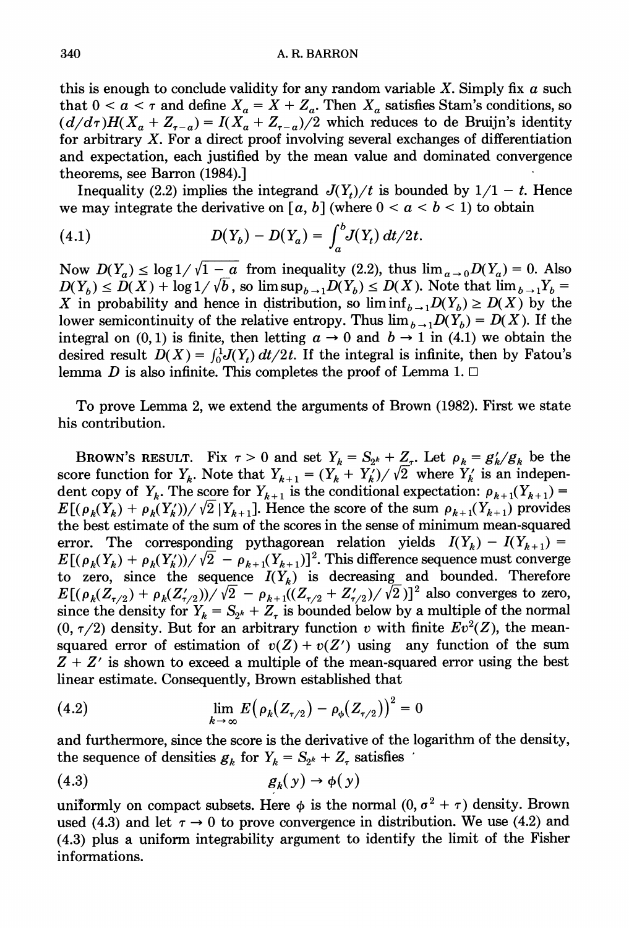this is enough to conclude validity for any random variable  $X$ . Simply fix  $\alpha$  such that  $0 < a < \tau$  and define  $X_a = X + Z_a$ . Then  $X_a$  satisfies Stam's conditions, so  $(d/d\tau)H(X_a + Z_{\tau-a}) = I(X_a + Z_{\tau-a})/2$  which reduces to de Bruijn's identity for arbitrary X. For a direct proof involving several exchanges of differentiation and expectation, each justified by the mean value and dominated convergence theorems, see Barron (1984).]

Inequality (2.2) implies the integrand  $J(Y_t)/t$  is bounded by  $1/1 - t$ . Hence we may integrate the derivative on [a, b] (where  $0 < a < b < 1$ ) to obtain

(4.1) 
$$
D(Y_b) - D(Y_a) = \int_a^b J(Y_t) dt/2t.
$$

Now  $D(Y_a) \le \log 1/\sqrt{1-a}$  from inequality (2.2), thus  $\lim_{a\to 0} D(Y_a) = 0$ . Also  $D(Y_b) \leq D(X) + \log 1/\sqrt{b}$ , so  $\limsup_{b \to 1} D(Y_b) \leq D(X)$ . Note that  $\lim_{b \to 1} Y_b =$ X in probability and hence in distribution, so  $\liminf_{b\to 1}D(Y_b) \ge D(X)$  by the lower semicontinuity of the relative entropy. Thus  $\lim_{b\to 1}D(Y_b) = D(X)$ . If the integral on (0, 1) is finite, then letting  $a \rightarrow 0$  and  $b \rightarrow 1$  in (4.1) we obtain the desired result  $D(X) = \int_0^1 J(Y_t) dt/2t$ . If the integral is infinite, then by Fatou's lemma D is also infinite. This completes the proof of Lemma 1.  $\Box$ 

To prove Lemma 2, we extend the arguments of Brown (1982). First we state his contribution.

BROWN'S RESULT. Fix  $\tau > 0$  and set  $Y_k = S_{2^k} + \underline{Z}_{\tau}$ . Let  $\rho_k = g'_k/g_k$  be the score function for  $Y_k$ . Note that  $Y_{k+1} = (Y_k + Y_k') / \sqrt{2}$  where  $Y_k$  is an independent copy of  $Y_k$ . The score for  $Y_{k+1}$  is the conditional expectation:  $\rho_{k+1}(Y_{k+1}) =$  $E[(\rho_k(Y_k) + \rho_k(Y'_k))/\sqrt{2}|Y_{k+1}]$ . Hence the score of the sum  $\rho_{k+1}(Y_{k+1})$  provides the best estimate of the sum of the scores in the sense of minimum mean-squared error. The corresponding pythagorean relation yields  $I(Y_k) - I(Y_{k+1}) =$  $E[(\rho_k(Y_k) + \rho_k(Y'_k))/\sqrt{2} - \rho_{k+1}(Y_{k+1})]^2$ . This difference sequence must converge to zero, since the sequence  $I(Y_k)$  is decreasing and bounded. Therefore  $E[(\rho_k(Z_{\tau/2}) + \rho_k(Z_{\tau/2}))/\sqrt{2} - \rho_{k+1}((Z_{\tau/2} + Z_{\tau/2}))/\sqrt{2})]^2$  also converges to zero, since the density for  $Y_k = S_{2^k} + Z_{\tau}$  is bounded below by a multiple of the normal  $(0, \tau/2)$  density. But for an arbitrary function v with finite  $Ev^2(Z)$ , the meansquared error of estimation of  $v(Z) + v(Z')$  using any function of the sum  $Z + Z'$  is shown to exceed a multiple of the mean-squared error using the best linear estimate. Consequently, Brown established that

(4.2) 
$$
\lim_{k \to \infty} E\big(\rho_k(Z_{\tau/2}) - \rho_{\phi}(Z_{\tau/2})\big)^2 = 0
$$

and furthermore, since the score is the derivative of the logarithm of the density, the sequence of densities  $g_k$  for  $Y_k = S_{2^k} + Z_{\tau}$  satisfies

$$
(4.3) \t\t gk(y) \to \phi(y)
$$

uniformly on compact subsets. Here  $\phi$  is the normal  $(0, \sigma^2 + \tau)$  density. Brown used (4.3) and let  $\tau \to 0$  to prove convergence in distribution. We use (4.2) and  $(4.3)$  plus a uniform integrability argument to identify the limit of the Fisher informations.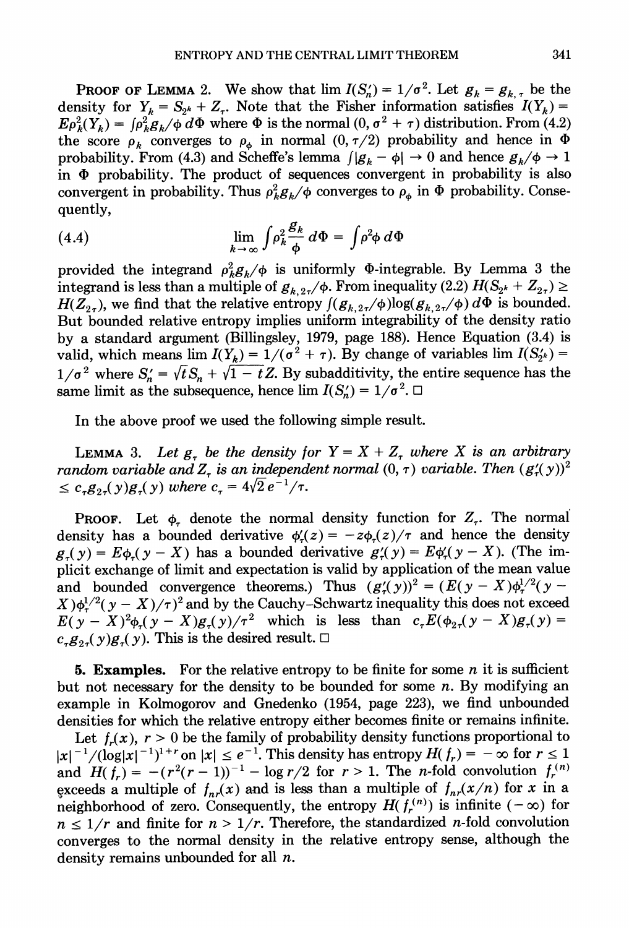**PROOF OF LEMMA** 2. We show that  $\lim I(S_n') = 1/\sigma^2$ . Let  $g_k = g_{k,\tau}$  be the density for  $Y_k = S_{2^k} + Z_{\tau}$ . Note that the Fisher information satisfies  $I(Y_k) =$  $E\rho_k^2(Y_k) = \int \rho_k^2 g_k / \phi \, d\Phi$  where  $\Phi$  is the normal  $(0, \sigma^2 + \tau)$  distribution. From (4.2) the score  $\rho_k$  converges to  $\rho_{\phi}$  in normal  $(0, \tau/2)$  probability and hence in  $\Phi$ probability. From (4.3) and Scheffe's lemma  $\int |g_k - \phi| \to 0$  and hence  $g_k/\phi \to 1$ . in  $\Phi$  probability. The product of sequences convergent in probability is also convergent in probability. Thus  $\rho_k^2 g_k/\phi$  converges to  $\rho_a$  in  $\Phi$  probability. Consequently,

(4.4) 
$$
\lim_{k \to \infty} \int \rho_k^2 \frac{\mathcal{B}_k}{\phi} d\Phi = \int \rho^2 \phi d\Phi
$$

provided the integrand  $\rho_k^2 g_k/\phi$  is uniformly  $\Phi$ -integrable. By Lemma 3 the integrand is less than a multiple of  $g_{k,27}/\phi$ . From inequality (2.2)  $H(S_{2^k} + Z_{2^k}) \ge$  $H(Z_{2r})$ , we find that the relative entropy  $\int (g_{k,2r}/\phi) \log(g_{k,2r}/\phi) d\Phi$  is bounded. But bounded relative entropy implies uniform integrability of the density ratio by a standard argument (Billingsley, 1979, page 188). Hence Equation (3.4) is valid, which means lim  $I(Y_k) = 1/(\sigma^2 + \tau)$ . By change of variables lim  $I(S_{2^k}) =$  $1/\sigma^2$  where  $S_n' = \sqrt{t}S_n + \sqrt{1-t}Z$ . By subadditivity, the entire sequence has the same limit as the subsequence, hence lim  $I(S'_n) = 1/\sigma^2$ .

In the above proof we used the following simple result.

LEMMA 3. Let  $g<sub>r</sub>$  be the density for  $Y = X + Z<sub>r</sub>$  where X is an arbitrary random variable and Z, is an independent normal  $(0, \tau)$  variable. Then  $(g'_{\tau}(y))^2$  $\leq c_{r}g_{2r}(y)g_{r}(y)$  where  $c_{r} = 4\sqrt{2}e^{-1}/\tau$ .

**PROOF.** Let  $\phi$ , denote the normal density function for  $Z_t$ . The normal density has a bounded derivative  $\phi'_n(z) = -z\phi_n(z)/\tau$  and hence the density  $g_r(y) = E\phi_r(y - X)$  has a bounded derivative  $g'(y) = E\phi_r(y - X)$ . (The implicit exchange of limit and expectation is valid by application of the mean value and bounded convergence theorems.) Thus  $(g'_{\tau}(y))^2 = (E(y - X)\phi_{\tau}^{1/2}(y (X)\phi_\tau^{1/2}(\mathbf{y}-X)/\tau)^2$  and by the Cauchy-Schwartz inequality this does not exceed  $E(y - X)^2 \phi(x - X)g(x)/\tau^2$  which is less than  $c_x E(\phi_{2x}(y - X)g_{x}(y))$  $c_{\tau}g_{2\tau}(y)g_{\tau}(y)$ . This is the desired result.  $\Box$ 

**5. Examples.** For the relative entropy to be finite for some n it is sufficient but not necessary for the density to be bounded for some  $n$ . By modifying an example in Kolmogorov and Gnedenko (1954, page 223), we find unbounded densities for which the relative entropy either becomes finite or remains infinite.

Let  $f_r(x)$ ,  $r > 0$  be the family of probability density functions proportional to  $|x|^{-1}/(\log|x|^{-1})^{1+r}$  on  $|x| \le e^{-1}$ . This density has entropy  $H(f_r) = -\infty$  for  $r \le 1$ and  $H(f_r) = -(r^2(r - 1))^{-1} - \log r/2$  for  $r > 1$ . The *n*-fold convolution  $f_r^{(n)}$ exceeds a multiple of  $f_{nr}(x)$  and is less than a multiple of  $f_{nr}(x/n)$  for x in a neighborhood of zero. Consequently, the entropy  $H(f_r^{(n)})$  is infinite  $(-\infty)$  for  $n \leq 1/r$  and finite for  $n > 1/r$ . Therefore, the standardized *n*-fold convolution converges to the normal density in the relative entropy sense, although the density remains unbounded for all  $n$ .